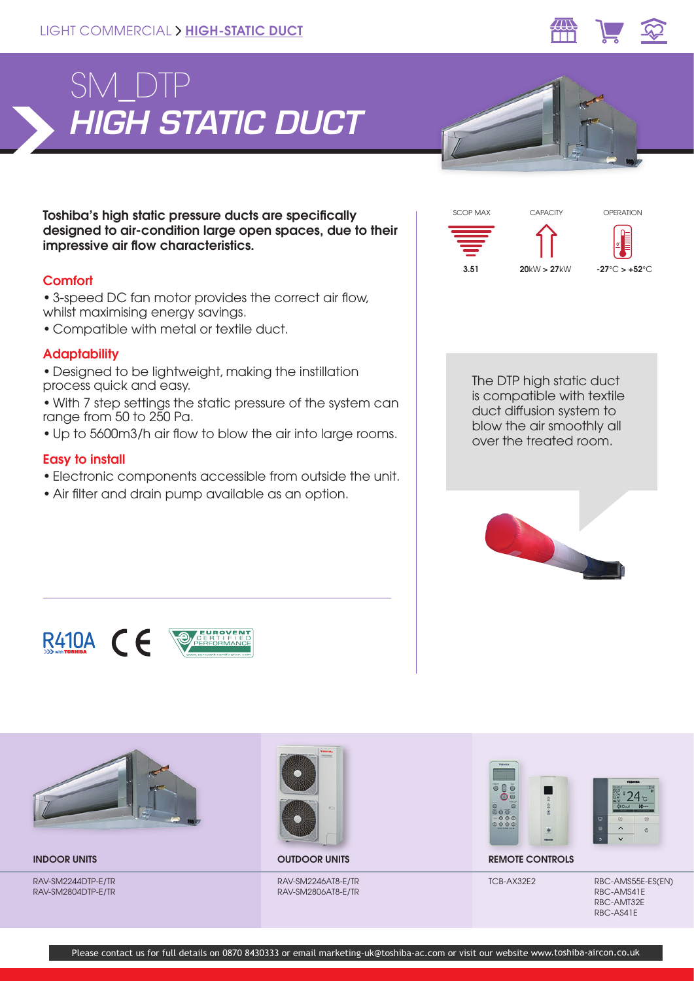



Toshiba's high static pressure ducts are specifically designed to air-condition large open spaces, due to their impressive air flow characteristics.

# **Comfort**

• 3-speed DC fan motor provides the correct air flow, whilst maximising energy savings.

• Compatible with metal or textile duct.

# **Adaptability**

• Designed to be lightweight, making the instillation process quick and easy.

• With 7 step settings the static pressure of the system can range from 50 to 250 Pa.

• Up to 5600m3/h air flow to blow the air into large rooms.

## Easy to install

- Electronic components accessible from outside the unit.
- Air filter and drain pump available as an option.



The DTP high static duct is compatible with textile duct diffusion system to blow the air smoothly all over the treated room.







RAV-SM2244DTP-E/TR RAV-SM2804DTP-E/TR



RAV-SM2246AT8-E/TR RAV-SM2806AT8-E/TR





INDOOR UNITS OUTDOOR UNITS REMOTE CONTROLS

TCB-AX32E2 RBC-AMS55E-ES(EN) RBC-AMS41E RBC-AMT32E RBC-AS41E